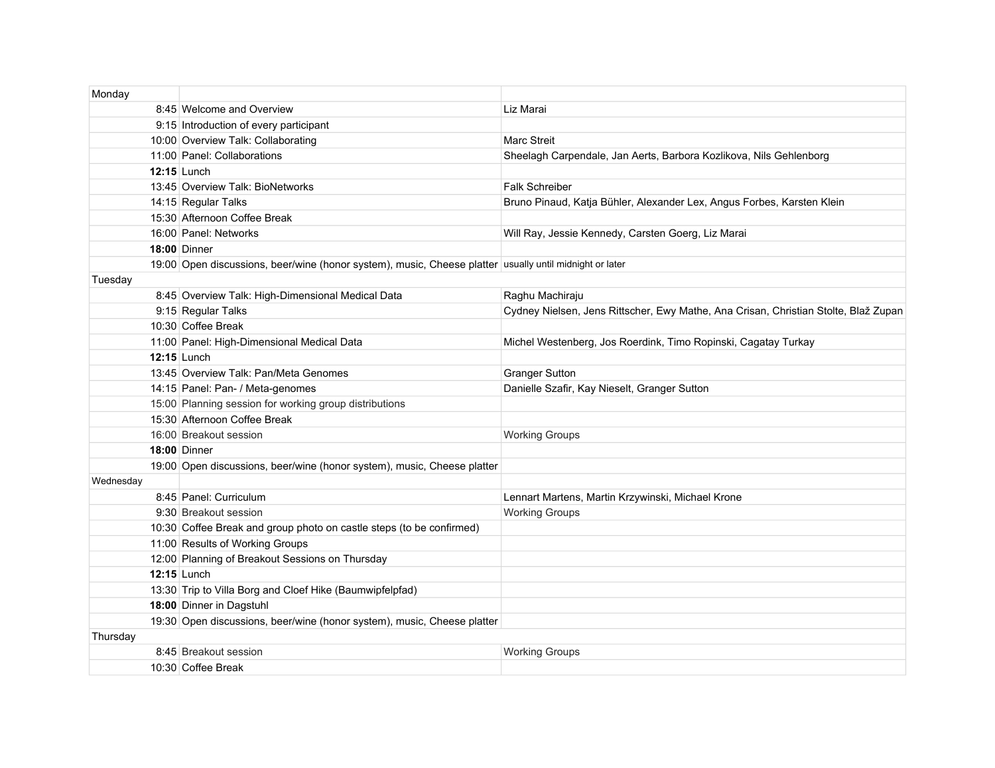| Monday    |                                                                                                         |                                                                                     |
|-----------|---------------------------------------------------------------------------------------------------------|-------------------------------------------------------------------------------------|
|           | 8:45 Welcome and Overview                                                                               | Liz Marai                                                                           |
|           | 9:15 Introduction of every participant                                                                  |                                                                                     |
|           | 10:00 Overview Talk: Collaborating                                                                      | <b>Marc Streit</b>                                                                  |
|           | 11:00 Panel: Collaborations                                                                             | Sheelagh Carpendale, Jan Aerts, Barbora Kozlikova, Nils Gehlenborg                  |
|           | <b>12:15 Lunch</b>                                                                                      |                                                                                     |
|           | 13:45 Overview Talk: BioNetworks                                                                        | <b>Falk Schreiber</b>                                                               |
|           | 14:15 Regular Talks                                                                                     | Bruno Pinaud, Katja Bühler, Alexander Lex, Angus Forbes, Karsten Klein              |
|           | 15:30 Afternoon Coffee Break                                                                            |                                                                                     |
|           | 16:00 Panel: Networks                                                                                   | Will Ray, Jessie Kennedy, Carsten Goerg, Liz Marai                                  |
|           | <b>18:00 Dinner</b>                                                                                     |                                                                                     |
|           | 19:00 Open discussions, beer/wine (honor system), music, Cheese platter usually until midnight or later |                                                                                     |
| Tuesday   |                                                                                                         |                                                                                     |
|           | 8:45 Overview Talk: High-Dimensional Medical Data                                                       | Raghu Machiraju                                                                     |
|           | 9:15 Regular Talks                                                                                      | Cydney Nielsen, Jens Rittscher, Ewy Mathe, Ana Crisan, Christian Stolte, Blaž Zupan |
|           | 10:30 Coffee Break                                                                                      |                                                                                     |
|           | 11:00 Panel: High-Dimensional Medical Data                                                              | Michel Westenberg, Jos Roerdink, Timo Ropinski, Cagatay Turkay                      |
|           | <b>12:15 Lunch</b>                                                                                      |                                                                                     |
|           | 13:45 Overview Talk: Pan/Meta Genomes                                                                   | <b>Granger Sutton</b>                                                               |
|           | 14:15 Panel: Pan- / Meta-genomes                                                                        | Danielle Szafir, Kay Nieselt, Granger Sutton                                        |
|           | 15:00 Planning session for working group distributions                                                  |                                                                                     |
|           | 15:30 Afternoon Coffee Break                                                                            |                                                                                     |
|           | 16:00 Breakout session                                                                                  | <b>Working Groups</b>                                                               |
|           | <b>18:00 Dinner</b>                                                                                     |                                                                                     |
|           | 19:00 Open discussions, beer/wine (honor system), music, Cheese platter                                 |                                                                                     |
| Wednesday |                                                                                                         |                                                                                     |
|           | 8:45 Panel: Curriculum                                                                                  | Lennart Martens, Martin Krzywinski, Michael Krone                                   |
|           | 9:30 Breakout session                                                                                   | <b>Working Groups</b>                                                               |
|           | 10:30 Coffee Break and group photo on castle steps (to be confirmed)                                    |                                                                                     |
|           | 11:00 Results of Working Groups                                                                         |                                                                                     |
|           | 12:00 Planning of Breakout Sessions on Thursday                                                         |                                                                                     |
|           | <b>12:15 Lunch</b>                                                                                      |                                                                                     |
|           | 13:30 Trip to Villa Borg and Cloef Hike (Baumwipfelpfad)                                                |                                                                                     |
|           | 18:00 Dinner in Dagstuhl                                                                                |                                                                                     |
|           | 19:30 Open discussions, beer/wine (honor system), music, Cheese platter                                 |                                                                                     |
| Thursday  |                                                                                                         |                                                                                     |
|           | 8:45 Breakout session                                                                                   | <b>Working Groups</b>                                                               |
|           | 10:30 Coffee Break                                                                                      |                                                                                     |